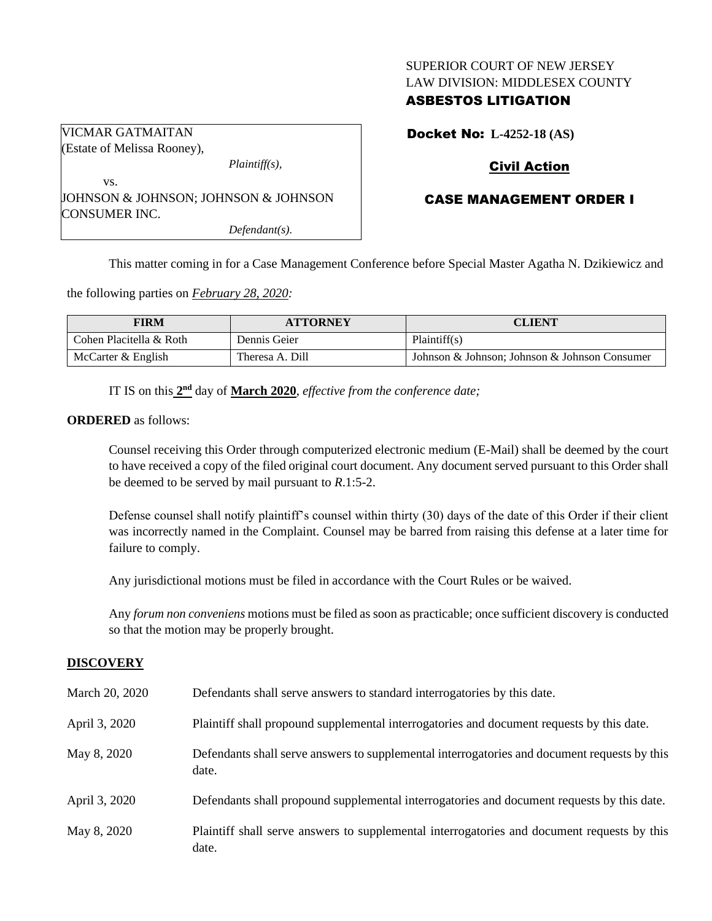### SUPERIOR COURT OF NEW JERSEY LAW DIVISION: MIDDLESEX COUNTY

# ASBESTOS LITIGATION

Docket No: **L-4252-18 (AS)**

# Civil Action

### CASE MANAGEMENT ORDER I

This matter coming in for a Case Management Conference before Special Master Agatha N. Dzikiewicz and

the following parties on *February 28, 2020:*

| <b>FIRM</b>             | <b>ATTORNEY</b> | <b>CLIENT</b>                                 |
|-------------------------|-----------------|-----------------------------------------------|
| Cohen Placitella & Roth | Dennis Geier    | Plaintiff(s)                                  |
| McCarter & English      | Theresa A. Dill | Johnson & Johnson; Johnson & Johnson Consumer |

IT IS on this  $2<sup>nd</sup>$  day of **March 2020**, *effective from the conference date*;

#### **ORDERED** as follows:

VICMAR GATMAITAN

Counsel receiving this Order through computerized electronic medium (E-Mail) shall be deemed by the court to have received a copy of the filed original court document. Any document served pursuant to this Order shall be deemed to be served by mail pursuant to *R*.1:5-2.

Defense counsel shall notify plaintiff's counsel within thirty (30) days of the date of this Order if their client was incorrectly named in the Complaint. Counsel may be barred from raising this defense at a later time for failure to comply.

Any jurisdictional motions must be filed in accordance with the Court Rules or be waived.

Any *forum non conveniens* motions must be filed as soon as practicable; once sufficient discovery is conducted so that the motion may be properly brought.

#### **DISCOVERY**

| March 20, 2020 | Defendants shall serve answers to standard interrogatories by this date.                              |
|----------------|-------------------------------------------------------------------------------------------------------|
| April 3, 2020  | Plaintiff shall propound supplemental interrogatories and document requests by this date.             |
| May 8, 2020    | Defendants shall serve answers to supplemental interrogatories and document requests by this<br>date. |
| April 3, 2020  | Defendants shall propound supplemental interrogatories and document requests by this date.            |
| May 8, 2020    | Plaintiff shall serve answers to supplemental interrogatories and document requests by this<br>date.  |

(Estate of Melissa Rooney), *Plaintiff(s),* vs. JOHNSON & JOHNSON; JOHNSON & JOHNSON CONSUMER INC.

*Defendant(s).*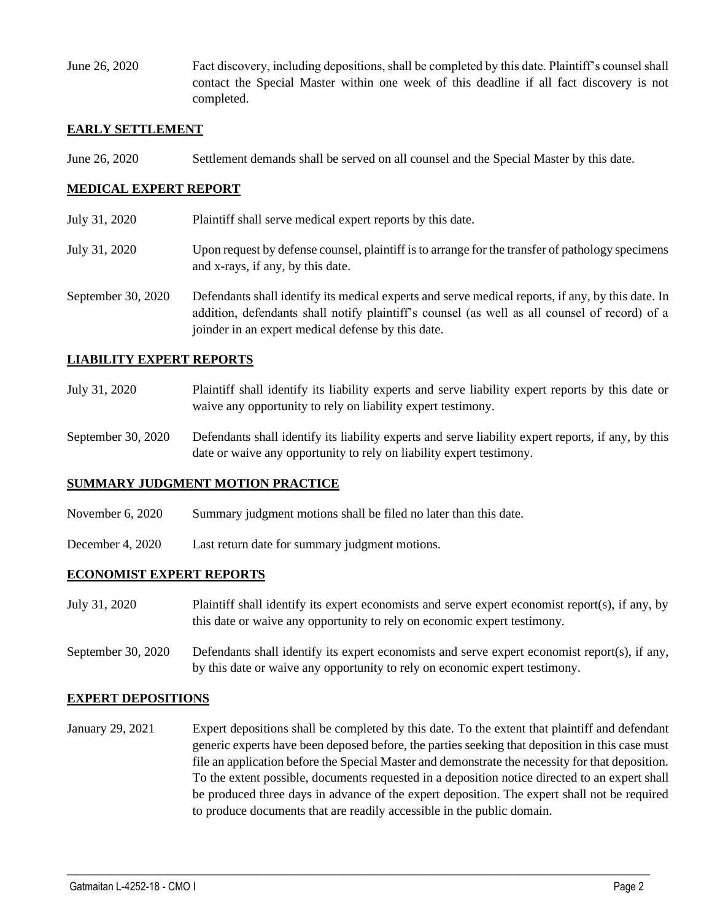June 26, 2020 Fact discovery, including depositions, shall be completed by this date. Plaintiff's counsel shall contact the Special Master within one week of this deadline if all fact discovery is not completed.

#### **EARLY SETTLEMENT**

June 26, 2020 Settlement demands shall be served on all counsel and the Special Master by this date.

#### **MEDICAL EXPERT REPORT**

- July 31, 2020 Plaintiff shall serve medical expert reports by this date.
- July 31, 2020 Upon request by defense counsel, plaintiff is to arrange for the transfer of pathology specimens and x-rays, if any, by this date.
- September 30, 2020 Defendants shall identify its medical experts and serve medical reports, if any, by this date. In addition, defendants shall notify plaintiff's counsel (as well as all counsel of record) of a joinder in an expert medical defense by this date.

#### **LIABILITY EXPERT REPORTS**

- July 31, 2020 Plaintiff shall identify its liability experts and serve liability expert reports by this date or waive any opportunity to rely on liability expert testimony.
- September 30, 2020 Defendants shall identify its liability experts and serve liability expert reports, if any, by this date or waive any opportunity to rely on liability expert testimony.

#### **SUMMARY JUDGMENT MOTION PRACTICE**

- November 6, 2020 Summary judgment motions shall be filed no later than this date.
- December 4, 2020 Last return date for summary judgment motions.

### **ECONOMIST EXPERT REPORTS**

- July 31, 2020 Plaintiff shall identify its expert economists and serve expert economist report(s), if any, by this date or waive any opportunity to rely on economic expert testimony.
- September 30, 2020 Defendants shall identify its expert economists and serve expert economist report(s), if any, by this date or waive any opportunity to rely on economic expert testimony.

#### **EXPERT DEPOSITIONS**

January 29, 2021 Expert depositions shall be completed by this date. To the extent that plaintiff and defendant generic experts have been deposed before, the parties seeking that deposition in this case must file an application before the Special Master and demonstrate the necessity for that deposition. To the extent possible, documents requested in a deposition notice directed to an expert shall be produced three days in advance of the expert deposition. The expert shall not be required to produce documents that are readily accessible in the public domain.

 $\_$  , and the set of the set of the set of the set of the set of the set of the set of the set of the set of the set of the set of the set of the set of the set of the set of the set of the set of the set of the set of th